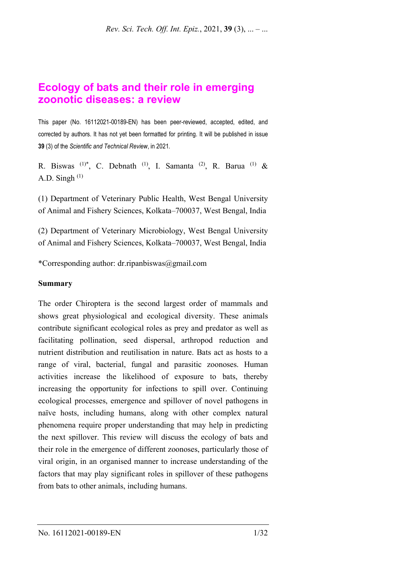# **Ecology of bats and their role in emerging zoonotic diseases: a review**

This paper (No. 16112021-00189-EN) has been peer-reviewed, accepted, edited, and corrected by authors. It has not yet been formatted for printing. It will be published in issue **39** (3) of the *Scientific and Technical Review*, in 2021*.*

R. Biswas  $(1)^*$ , C. Debnath  $(1)$ , I. Samanta  $(2)$ , R. Barua  $(1)$  & A.D. Singh  $(1)$ 

(1) Department of Veterinary Public Health, West Bengal University of Animal and Fishery Sciences, Kolkata–700037, West Bengal, India

(2) Department of Veterinary Microbiology, West Bengal University of Animal and Fishery Sciences, Kolkata–700037, West Bengal, India

\*Corresponding author: dr.ripanbiswas@gmail.com

#### **Summary**

The order Chiroptera is the second largest order of mammals and shows great physiological and ecological diversity. These animals contribute significant ecological roles as prey and predator as well as facilitating pollination, seed dispersal, arthropod reduction and nutrient distribution and reutilisation in nature. Bats act as hosts to a range of viral, bacterial, fungal and parasitic zoonoses. Human activities increase the likelihood of exposure to bats, thereby increasing the opportunity for infections to spill over. Continuing ecological processes, emergence and spillover of novel pathogens in naïve hosts, including humans, along with other complex natural phenomena require proper understanding that may help in predicting the next spillover. This review will discuss the ecology of bats and their role in the emergence of different zoonoses, particularly those of viral origin, in an organised manner to increase understanding of the factors that may play significant roles in spillover of these pathogens from bats to other animals, including humans.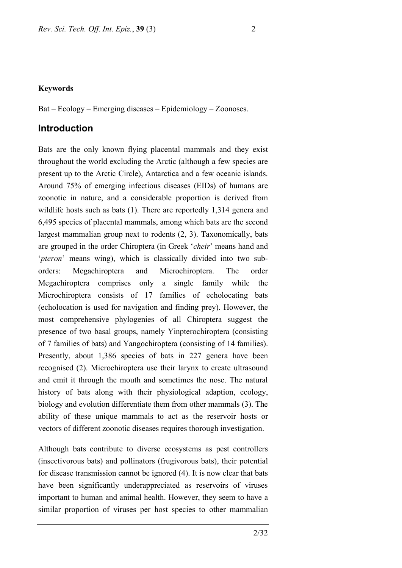#### **Keywords**

Bat – Ecology – Emerging diseases – Epidemiology – Zoonoses.

### **Introduction**

Bats are the only known flying placental mammals and they exist throughout the world excluding the Arctic (although a few species are present up to the Arctic Circle), Antarctica and a few oceanic islands. Around 75% of emerging infectious diseases (EIDs) of humans are zoonotic in nature, and a considerable proportion is derived from wildlife hosts such as bats (1). There are reportedly 1,314 genera and 6,495 species of placental mammals, among which bats are the second largest mammalian group next to rodents (2, 3). Taxonomically, bats are grouped in the order Chiroptera (in Greek '*cheir*' means hand and '*pteron*' means wing), which is classically divided into two suborders: Megachiroptera and Microchiroptera. The order Megachiroptera comprises only a single family while the Microchiroptera consists of 17 families of echolocating bats (echolocation is used for navigation and finding prey). However, the most comprehensive phylogenies of all Chiroptera suggest the presence of two basal groups, namely Yinpterochiroptera (consisting of 7 families of bats) and Yangochiroptera (consisting of 14 families). Presently, about 1,386 species of bats in 227 genera have been recognised (2). Microchiroptera use their larynx to create ultrasound and emit it through the mouth and sometimes the nose. The natural history of bats along with their physiological adaption, ecology, biology and evolution differentiate them from other mammals (3). The ability of these unique mammals to act as the reservoir hosts or vectors of different zoonotic diseases requires thorough investigation.

Although bats contribute to diverse ecosystems as pest controllers (insectivorous bats) and pollinators (frugivorous bats), their potential for disease transmission cannot be ignored (4). It is now clear that bats have been significantly underappreciated as reservoirs of viruses important to human and animal health. However, they seem to have a similar proportion of viruses per host species to other mammalian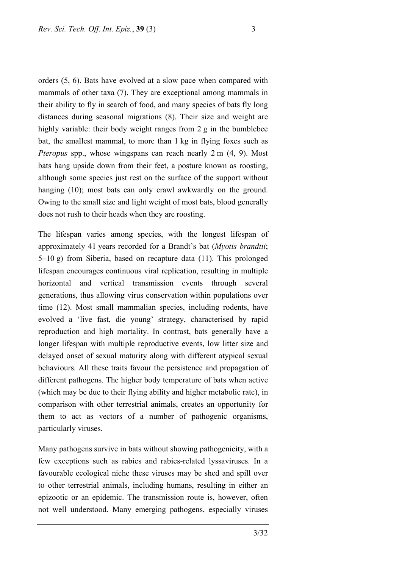orders (5, 6). Bats have evolved at a slow pace when compared with mammals of other taxa (7). They are exceptional among mammals in their ability to fly in search of food, and many species of bats fly long distances during seasonal migrations (8). Their size and weight are highly variable: their body weight ranges from 2 g in the bumblebee bat, the smallest mammal, to more than 1 kg in flying foxes such as *Pteropus* spp., whose wingspans can reach nearly 2 m (4, 9). Most bats hang upside down from their feet, a posture known as roosting, although some species just rest on the surface of the support without hanging (10); most bats can only crawl awkwardly on the ground. Owing to the small size and light weight of most bats, blood generally does not rush to their heads when they are roosting.

The lifespan varies among species, with the longest lifespan of approximately 41 years recorded for a Brandt's bat (*Myotis brandtii*; 5–10 g) from Siberia, based on recapture data (11). This prolonged lifespan encourages continuous viral replication, resulting in multiple horizontal and vertical transmission events through several generations, thus allowing virus conservation within populations over time (12). Most small mammalian species, including rodents, have evolved a 'live fast, die young' strategy, characterised by rapid reproduction and high mortality. In contrast, bats generally have a longer lifespan with multiple reproductive events, low litter size and delayed onset of sexual maturity along with different atypical sexual behaviours. All these traits favour the persistence and propagation of different pathogens. The higher body temperature of bats when active (which may be due to their flying ability and higher metabolic rate), in comparison with other terrestrial animals, creates an opportunity for them to act as vectors of a number of pathogenic organisms, particularly viruses.

Many pathogens survive in bats without showing pathogenicity, with a few exceptions such as rabies and rabies-related lyssaviruses. In a favourable ecological niche these viruses may be shed and spill over to other terrestrial animals, including humans, resulting in either an epizootic or an epidemic. The transmission route is, however, often not well understood. Many emerging pathogens, especially viruses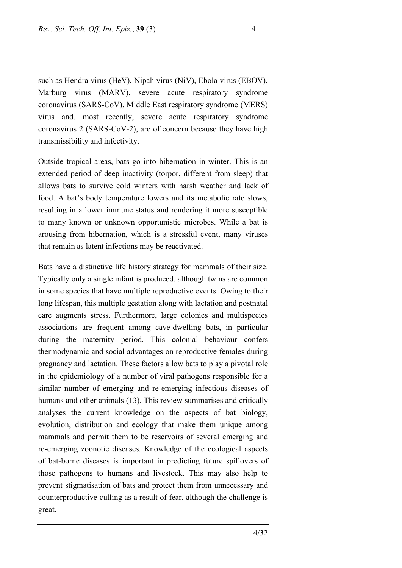such as Hendra virus (HeV), Nipah virus (NiV), Ebola virus (EBOV), Marburg virus (MARV), severe acute respiratory syndrome coronavirus (SARS-CoV), Middle East respiratory syndrome (MERS) virus and, most recently, severe acute respiratory syndrome coronavirus 2 (SARS-CoV-2), are of concern because they have high transmissibility and infectivity.

Outside tropical areas, bats go into hibernation in winter. This is an extended period of deep inactivity (torpor, different from sleep) that allows bats to survive cold winters with harsh weather and lack of food. A bat's body temperature lowers and its metabolic rate slows, resulting in a lower immune status and rendering it more susceptible to many known or unknown opportunistic microbes. While a bat is arousing from hibernation, which is a stressful event, many viruses that remain as latent infections may be reactivated.

Bats have a distinctive life history strategy for mammals of their size. Typically only a single infant is produced, although twins are common in some species that have multiple reproductive events. Owing to their long lifespan, this multiple gestation along with lactation and postnatal care augments stress. Furthermore, large colonies and multispecies associations are frequent among cave-dwelling bats, in particular during the maternity period. This colonial behaviour confers thermodynamic and social advantages on reproductive females during pregnancy and lactation. These factors allow bats to play a pivotal role in the epidemiology of a number of viral pathogens responsible for a similar number of emerging and re-emerging infectious diseases of humans and other animals (13). This review summarises and critically analyses the current knowledge on the aspects of bat biology, evolution, distribution and ecology that make them unique among mammals and permit them to be reservoirs of several emerging and re-emerging zoonotic diseases. Knowledge of the ecological aspects of bat-borne diseases is important in predicting future spillovers of those pathogens to humans and livestock. This may also help to prevent stigmatisation of bats and protect them from unnecessary and counterproductive culling as a result of fear, although the challenge is great.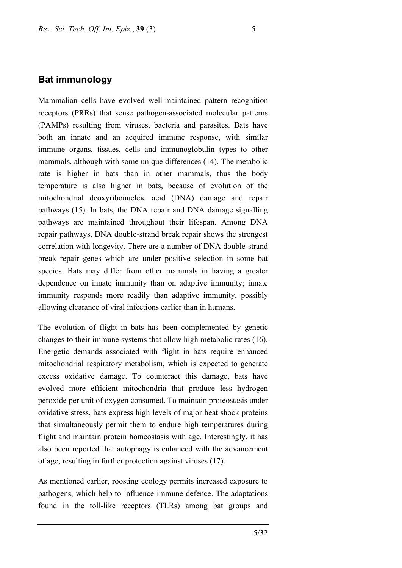# **Bat immunology**

Mammalian cells have evolved well-maintained pattern recognition receptors (PRRs) that sense pathogen-associated molecular patterns (PAMPs) resulting from viruses, bacteria and parasites. Bats have both an innate and an acquired immune response, with similar immune organs, tissues, cells and immunoglobulin types to other mammals, although with some unique differences (14). The metabolic rate is higher in bats than in other mammals, thus the body temperature is also higher in bats, because of evolution of the mitochondrial deoxyribonucleic acid (DNA) damage and repair pathways (15). In bats, the DNA repair and DNA damage signalling pathways are maintained throughout their lifespan. Among DNA repair pathways, DNA double-strand break repair shows the strongest correlation with longevity. There are a number of DNA double-strand break repair genes which are under positive selection in some bat species. Bats may differ from other mammals in having a greater dependence on innate immunity than on adaptive immunity; innate immunity responds more readily than adaptive immunity, possibly allowing clearance of viral infections earlier than in humans.

The evolution of flight in bats has been complemented by genetic changes to their immune systems that allow high metabolic rates (16). Energetic demands associated with flight in bats require enhanced mitochondrial respiratory metabolism, which is expected to generate excess oxidative damage. To counteract this damage, bats have evolved more efficient mitochondria that produce less hydrogen peroxide per unit of oxygen consumed. To maintain proteostasis under oxidative stress, bats express high levels of major heat shock proteins that simultaneously permit them to endure high temperatures during flight and maintain protein homeostasis with age. Interestingly, it has also been reported that autophagy is enhanced with the advancement of age, resulting in further protection against viruses (17).

As mentioned earlier, roosting ecology permits increased exposure to pathogens, which help to influence immune defence. The adaptations found in the toll-like receptors (TLRs) among bat groups and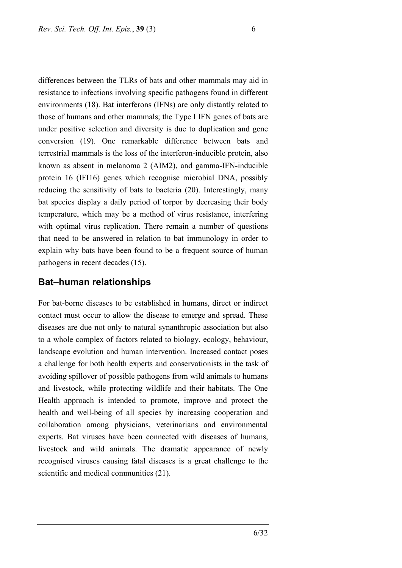differences between the TLRs of bats and other mammals may aid in resistance to infections involving specific pathogens found in different environments (18). Bat interferons (IFNs) are only distantly related to those of humans and other mammals; the Type I IFN genes of bats are under positive selection and diversity is due to duplication and gene conversion (19). One remarkable difference between bats and terrestrial mammals is the loss of the interferon-inducible protein, also known as absent in melanoma 2 (AIM2), and gamma-IFN-inducible protein 16 (IFI16) genes which recognise microbial DNA, possibly reducing the sensitivity of bats to bacteria (20). Interestingly, many bat species display a daily period of torpor by decreasing their body temperature, which may be a method of virus resistance, interfering with optimal virus replication. There remain a number of questions that need to be answered in relation to bat immunology in order to explain why bats have been found to be a frequent source of human pathogens in recent decades (15).

### **Bat–human relationships**

For bat-borne diseases to be established in humans, direct or indirect contact must occur to allow the disease to emerge and spread. These diseases are due not only to natural synanthropic association but also to a whole complex of factors related to biology, ecology, behaviour, landscape evolution and human intervention. Increased contact poses a challenge for both health experts and conservationists in the task of avoiding spillover of possible pathogens from wild animals to humans and livestock, while protecting wildlife and their habitats. The One Health approach is intended to promote, improve and protect the health and well-being of all species by increasing cooperation and collaboration among physicians, veterinarians and environmental experts. Bat viruses have been connected with diseases of humans, livestock and wild animals. The dramatic appearance of newly recognised viruses causing fatal diseases is a great challenge to the scientific and medical communities (21).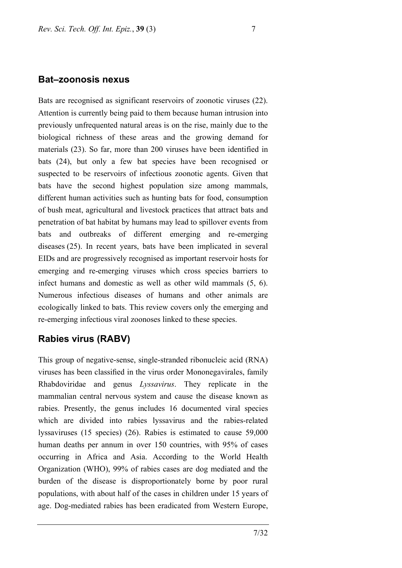#### **Bat–zoonosis nexus**

Bats are recognised as significant reservoirs of zoonotic viruses (22). Attention is currently being paid to them because human intrusion into previously unfrequented natural areas is on the rise, mainly due to the biological richness of these areas and the growing demand for materials (23). So far, more than 200 viruses have been identified in bats (24), but only a few bat species have been recognised or suspected to be reservoirs of infectious zoonotic agents. Given that bats have the second highest population size among mammals, different human activities such as hunting bats for food, consumption of bush meat, agricultural and livestock practices that attract bats and penetration of bat habitat by humans may lead to spillover events from bats and outbreaks of different emerging and re-emerging diseases (25). In recent years, bats have been implicated in several EIDs and are progressively recognised as important reservoir hosts for emerging and re-emerging viruses which cross species barriers to infect humans and domestic as well as other wild mammals (5, 6). Numerous infectious diseases of humans and other animals are ecologically linked to bats. This review covers only the emerging and re-emerging infectious viral zoonoses linked to these species.

# **Rabies virus (RABV)**

This group of negative-sense, single-stranded ribonucleic acid (RNA) viruses has been classified in the virus order Mononegavirales, family Rhabdoviridae and genus *Lyssavirus*. They replicate in the mammalian central nervous system and cause the disease known as rabies. Presently, the genus includes 16 documented viral species which are divided into rabies lyssavirus and the rabies-related lyssaviruses (15 species) (26). Rabies is estimated to cause 59,000 human deaths per annum in over 150 countries, with 95% of cases occurring in Africa and Asia. According to the World Health Organization (WHO), 99% of rabies cases are dog mediated and the burden of the disease is disproportionately borne by poor rural populations, with about half of the cases in children under 15 years of age. Dog-mediated rabies has been eradicated from Western Europe,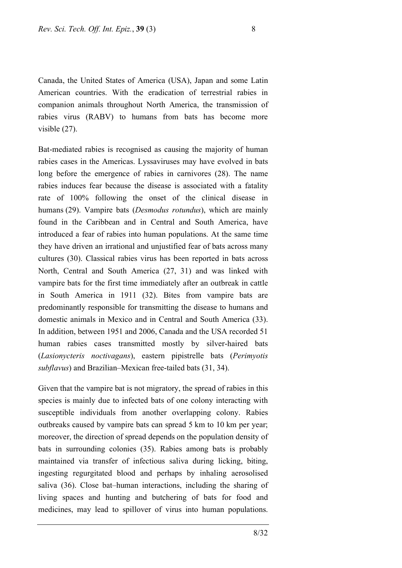Canada, the United States of America (USA), Japan and some Latin American countries. With the eradication of terrestrial rabies in companion animals throughout North America, the transmission of rabies virus (RABV) to humans from bats has become more visible (27).

Bat-mediated rabies is recognised as causing the majority of human rabies cases in the Americas. Lyssaviruses may have evolved in bats long before the emergence of rabies in carnivores (28). The name rabies induces fear because the disease is associated with a fatality rate of 100% following the onset of the clinical disease in humans (29). Vampire bats (*Desmodus rotundus*), which are mainly found in the Caribbean and in Central and South America, have introduced a fear of rabies into human populations. At the same time they have driven an irrational and unjustified fear of bats across many cultures (30). Classical rabies virus has been reported in bats across North, Central and South America (27, 31) and was linked with vampire bats for the first time immediately after an outbreak in cattle in South America in 1911 (32). Bites from vampire bats are predominantly responsible for transmitting the disease to humans and domestic animals in Mexico and in Central and South America (33). In addition, between 1951 and 2006, Canada and the USA recorded 51 human rabies cases transmitted mostly by silver-haired bats (*Lasionycteris noctivagans*), eastern pipistrelle bats (*Perimyotis subflavus*) and Brazilian–Mexican free-tailed bats (31, 34).

Given that the vampire bat is not migratory, the spread of rabies in this species is mainly due to infected bats of one colony interacting with susceptible individuals from another overlapping colony. Rabies outbreaks caused by vampire bats can spread 5 km to 10 km per year; moreover, the direction of spread depends on the population density of bats in surrounding colonies (35). Rabies among bats is probably maintained via transfer of infectious saliva during licking, biting, ingesting regurgitated blood and perhaps by inhaling aerosolised saliva (36). Close bat–human interactions, including the sharing of living spaces and hunting and butchering of bats for food and medicines, may lead to spillover of virus into human populations.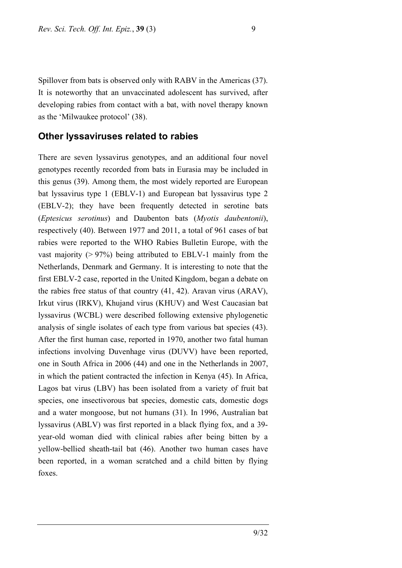Spillover from bats is observed only with RABV in the Americas (37). It is noteworthy that an unvaccinated adolescent has survived, after developing rabies from contact with a bat, with novel therapy known as the 'Milwaukee protocol' (38).

# **Other lyssaviruses related to rabies**

There are seven lyssavirus genotypes, and an additional four novel genotypes recently recorded from bats in Eurasia may be included in this genus (39). Among them, the most widely reported are European bat lyssavirus type 1 (EBLV-1) and European bat lyssavirus type 2 (EBLV-2); they have been frequently detected in serotine bats (*Eptesicus serotinus*) and Daubenton bats (*Myotis daubentonii*), respectively (40). Between 1977 and 2011, a total of 961 cases of bat rabies were reported to the WHO Rabies Bulletin Europe, with the vast majority  $(> 97%)$  being attributed to EBLV-1 mainly from the Netherlands, Denmark and Germany. It is interesting to note that the first EBLV-2 case, reported in the United Kingdom, began a debate on the rabies free status of that country (41, 42). Aravan virus (ARAV), Irkut virus (IRKV), Khujand virus (KHUV) and West Caucasian bat lyssavirus (WCBL) were described following extensive phylogenetic analysis of single isolates of each type from various bat species (43). After the first human case, reported in 1970, another two fatal human infections involving Duvenhage virus (DUVV) have been reported, one in South Africa in 2006 (44) and one in the Netherlands in 2007, in which the patient contracted the infection in Kenya (45). In Africa, Lagos bat virus (LBV) has been isolated from a variety of fruit bat species, one insectivorous bat species, domestic cats, domestic dogs and a water mongoose, but not humans (31). In 1996, Australian bat lyssavirus (ABLV) was first reported in a black flying fox, and a 39 year-old woman died with clinical rabies after being bitten by a yellow-bellied sheath-tail bat (46). Another two human cases have been reported, in a woman scratched and a child bitten by flying foxes.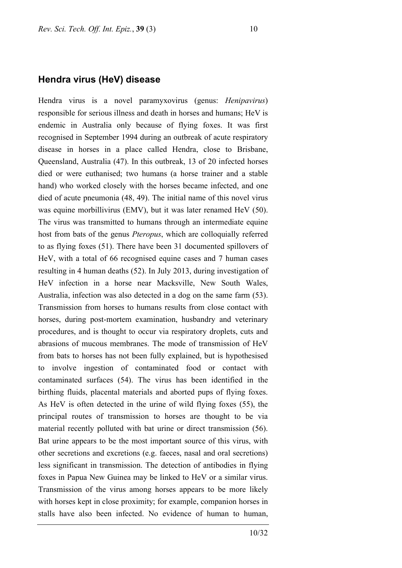#### **Hendra virus (HeV) disease**

Hendra virus is a novel paramyxovirus (genus: *Henipavirus*) responsible for serious illness and death in horses and humans; HeV is endemic in Australia only because of flying foxes. It was first recognised in September 1994 during an outbreak of acute respiratory disease in horses in a place called Hendra, close to Brisbane, Queensland, Australia (47). In this outbreak, 13 of 20 infected horses died or were euthanised; two humans (a horse trainer and a stable hand) who worked closely with the horses became infected, and one died of acute pneumonia (48, 49). The initial name of this novel virus was equine morbillivirus (EMV), but it was later renamed HeV (50). The virus was transmitted to humans through an intermediate equine host from bats of the genus *Pteropus*, which are colloquially referred to as flying foxes (51). There have been 31 documented spillovers of HeV, with a total of 66 recognised equine cases and 7 human cases resulting in 4 human deaths (52). In July 2013, during investigation of HeV infection in a horse near Macksville, New South Wales, Australia, infection was also detected in a dog on the same farm (53). Transmission from horses to humans results from close contact with horses, during post-mortem examination, husbandry and veterinary procedures, and is thought to occur via respiratory droplets, cuts and abrasions of mucous membranes. The mode of transmission of HeV from bats to horses has not been fully explained, but is hypothesised to involve ingestion of contaminated food or contact with contaminated surfaces (54). The virus has been identified in the birthing fluids, placental materials and aborted pups of flying foxes. As HeV is often detected in the urine of wild flying foxes (55), the principal routes of transmission to horses are thought to be via material recently polluted with bat urine or direct transmission (56). Bat urine appears to be the most important source of this virus, with other secretions and excretions (e.g. faeces, nasal and oral secretions) less significant in transmission. The detection of antibodies in flying foxes in Papua New Guinea may be linked to HeV or a similar virus. Transmission of the virus among horses appears to be more likely with horses kept in close proximity; for example, companion horses in stalls have also been infected. No evidence of human to human,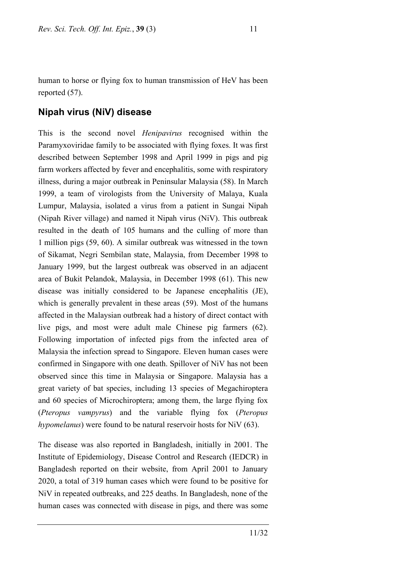human to horse or flying fox to human transmission of HeV has been reported (57).

# **Nipah virus (NiV) disease**

This is the second novel *Henipavirus* recognised within the Paramyxoviridae family to be associated with flying foxes. It was first described between September 1998 and April 1999 in pigs and pig farm workers affected by fever and encephalitis, some with respiratory illness, during a major outbreak in Peninsular Malaysia (58). In March 1999, a team of virologists from the University of Malaya, Kuala Lumpur, Malaysia, isolated a virus from a patient in Sungai Nipah (Nipah River village) and named it Nipah virus (NiV). This outbreak resulted in the death of 105 humans and the culling of more than 1 million pigs (59, 60). A similar outbreak was witnessed in the town of Sikamat, Negri Sembilan state, Malaysia, from December 1998 to January 1999, but the largest outbreak was observed in an adjacent area of Bukit Pelandok, Malaysia, in December 1998 (61). This new disease was initially considered to be Japanese encephalitis (JE), which is generally prevalent in these areas (59). Most of the humans affected in the Malaysian outbreak had a history of direct contact with live pigs, and most were adult male Chinese pig farmers (62). Following importation of infected pigs from the infected area of Malaysia the infection spread to Singapore. Eleven human cases were confirmed in Singapore with one death. Spillover of NiV has not been observed since this time in Malaysia or Singapore. Malaysia has a great variety of bat species, including 13 species of Megachiroptera and 60 species of Microchiroptera; among them, the large flying fox (*Pteropus vampyrus*) and the variable flying fox (*Pteropus hypomelanus*) were found to be natural reservoir hosts for NiV (63).

The disease was also reported in Bangladesh, initially in 2001. The Institute of Epidemiology, Disease Control and Research (IEDCR) in Bangladesh reported on their website, from April 2001 to January 2020, a total of 319 human cases which were found to be positive for NiV in repeated outbreaks, and 225 deaths. In Bangladesh, none of the human cases was connected with disease in pigs, and there was some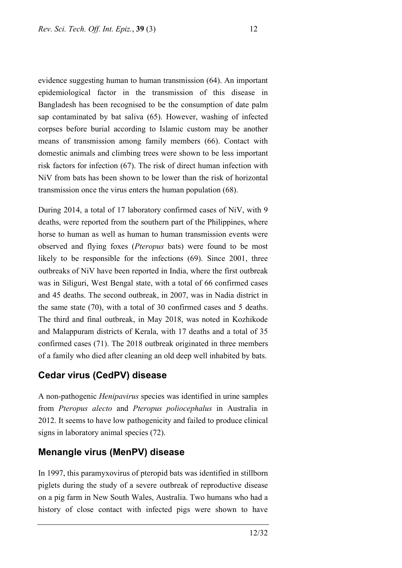evidence suggesting human to human transmission (64). An important epidemiological factor in the transmission of this disease in Bangladesh has been recognised to be the consumption of date palm sap contaminated by bat saliva (65). However, washing of infected corpses before burial according to Islamic custom may be another means of transmission among family members (66). Contact with domestic animals and climbing trees were shown to be less important risk factors for infection (67). The risk of direct human infection with NiV from bats has been shown to be lower than the risk of horizontal transmission once the virus enters the human population (68).

During 2014, a total of 17 laboratory confirmed cases of NiV, with 9 deaths, were reported from the southern part of the Philippines, where horse to human as well as human to human transmission events were observed and flying foxes (*Pteropus* bats) were found to be most likely to be responsible for the infections (69). Since 2001, three outbreaks of NiV have been reported in India, where the first outbreak was in Siliguri, West Bengal state, with a total of 66 confirmed cases and 45 deaths. The second outbreak, in 2007, was in Nadia district in the same state (70), with a total of 30 confirmed cases and 5 deaths. The third and final outbreak, in May 2018, was noted in Kozhikode and Malappuram districts of Kerala, with 17 deaths and a total of 35 confirmed cases (71). The 2018 outbreak originated in three members of a family who died after cleaning an old deep well inhabited by bats.

# **Cedar virus (CedPV) disease**

A non-pathogenic *Henipavirus* species was identified in urine samples from *Pteropus alecto* and *Pteropus poliocephalus* in Australia in 2012. It seems to have low pathogenicity and failed to produce clinical signs in laboratory animal species (72).

# **Menangle virus (MenPV) disease**

In 1997, this paramyxovirus of pteropid bats was identified in stillborn piglets during the study of a severe outbreak of reproductive disease on a pig farm in New South Wales, Australia. Two humans who had a history of close contact with infected pigs were shown to have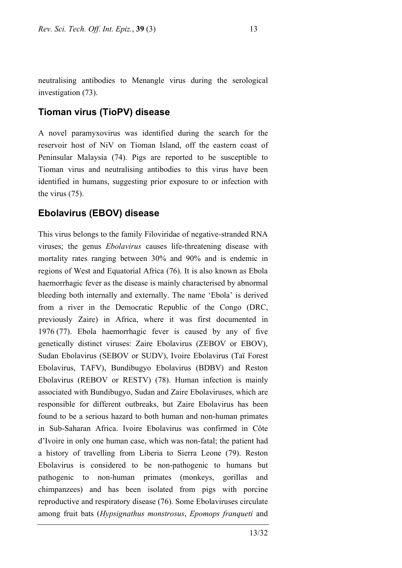neutralising antibodies to Menangle virus during the serological investigation (73).

### **Tioman virus (TioPV) disease**

A novel paramyxovirus was identified during the search for the reservoir host of NiV on Tioman Island, off the eastern coast of Peninsular Malaysia (74). Pigs are reported to be susceptible to Tioman virus and neutralising antibodies to this virus have been identified in humans, suggesting prior exposure to or infection with the virus (75).

#### **Ebolavirus (EBOV) disease**

This virus belongs to the family Filoviridae of negative-stranded RNA viruses; the genus *Ebolavirus* causes life-threatening disease with mortality rates ranging between 30% and 90% and is endemic in regions of West and Equatorial Africa (76). It is also known as Ebola haemorrhagic fever as the disease is mainly characterised by abnormal bleeding both internally and externally. The name 'Ebola' is derived from a river in the Democratic Republic of the Congo (DRC, previously Zaire) in Africa, where it was first documented in 1976 (77). Ebola haemorrhagic fever is caused by any of five genetically distinct viruses: Zaire Ebolavirus (ZEBOV or EBOV), Sudan Ebolavirus (SEBOV or SUDV), Ivoire Ebolavirus (Taï Forest Ebolavirus, TAFV), Bundibugyo Ebolavirus (BDBV) and Reston Ebolavirus (REBOV or RESTV) (78). Human infection is mainly associated with Bundibugyo, Sudan and Zaire Ebolaviruses, which are responsible for different outbreaks, but Zaire Ebolavirus has been found to be a serious hazard to both human and non-human primates in Sub-Saharan Africa. Ivoire Ebolavirus was confirmed in Côte d'Ivoire in only one human case, which was non-fatal; the patient had a history of travelling from Liberia to Sierra Leone (79). Reston Ebolavirus is considered to be non-pathogenic to humans but pathogenic to non-human primates (monkeys, gorillas and chimpanzees) and has been isolated from pigs with porcine reproductive and respiratory disease (76). Some Ebolaviruses circulate among fruit bats (*Hypsignathus monstrosus*, *Epomops franqueti* and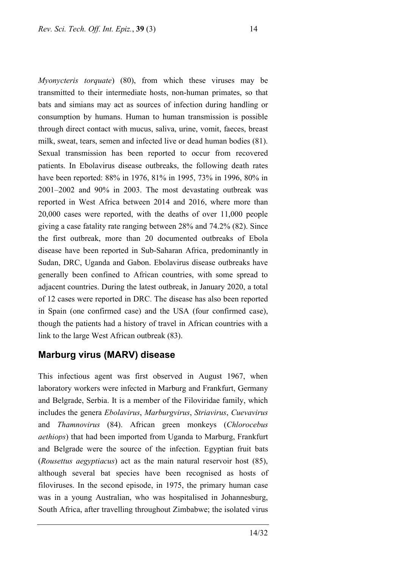*Myonycteris torquate*) (80), from which these viruses may be transmitted to their intermediate hosts, non-human primates, so that bats and simians may act as sources of infection during handling or consumption by humans. Human to human transmission is possible through direct contact with mucus, saliva, urine, vomit, faeces, breast milk, sweat, tears, semen and infected live or dead human bodies (81). Sexual transmission has been reported to occur from recovered patients. In Ebolavirus disease outbreaks, the following death rates have been reported: 88% in 1976, 81% in 1995, 73% in 1996, 80% in 2001–2002 and 90% in 2003. The most devastating outbreak was reported in West Africa between 2014 and 2016, where more than 20,000 cases were reported, with the deaths of over 11,000 people giving a case fatality rate ranging between 28% and 74.2% (82). Since the first outbreak, more than 20 documented outbreaks of Ebola disease have been reported in Sub-Saharan Africa, predominantly in Sudan, DRC, Uganda and Gabon. Ebolavirus disease outbreaks have generally been confined to African countries, with some spread to adjacent countries. During the latest outbreak, in January 2020, a total of 12 cases were reported in DRC. The disease has also been reported in Spain (one confirmed case) and the USA (four confirmed case), though the patients had a history of travel in African countries with a link to the large West African outbreak (83).

### **Marburg virus (MARV) disease**

This infectious agent was first observed in August 1967, when laboratory workers were infected in Marburg and Frankfurt, Germany and Belgrade, Serbia. It is a member of the Filoviridae family, which includes the genera *Ebolavirus*, *Marburgvirus*, *Striavirus*, *Cuevavirus* and *Thamnovirus* (84). African green monkeys (*Chlorocebus aethiops*) that had been imported from Uganda to Marburg, Frankfurt and Belgrade were the source of the infection. Egyptian fruit bats (*Rousettus aegyptiacus*) act as the main natural reservoir host (85), although several bat species have been recognised as hosts of filoviruses. In the second episode, in 1975, the primary human case was in a young Australian, who was hospitalised in Johannesburg, South Africa, after travelling throughout Zimbabwe; the isolated virus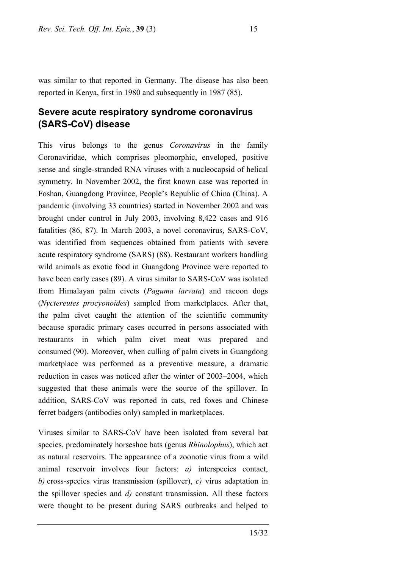was similar to that reported in Germany. The disease has also been reported in Kenya, first in 1980 and subsequently in 1987 (85).

# **Severe acute respiratory syndrome coronavirus (SARS-CoV) disease**

This virus belongs to the genus *Coronavirus* in the family Coronaviridae, which comprises pleomorphic, enveloped, positive sense and single-stranded RNA viruses with a nucleocapsid of helical symmetry. In November 2002, the first known case was reported in Foshan, Guangdong Province, People's Republic of China (China). A pandemic (involving 33 countries) started in November 2002 and was brought under control in July 2003, involving 8,422 cases and 916 fatalities (86, 87). In March 2003, a novel coronavirus, SARS-CoV, was identified from sequences obtained from patients with severe acute respiratory syndrome (SARS) (88). Restaurant workers handling wild animals as exotic food in Guangdong Province were reported to have been early cases (89). A virus similar to SARS-CoV was isolated from Himalayan palm civets (*Paguma larvata*) and racoon dogs (*Nyctereutes procyonoides*) sampled from marketplaces. After that, the palm civet caught the attention of the scientific community because sporadic primary cases occurred in persons associated with restaurants in which palm civet meat was prepared and consumed (90). Moreover, when culling of palm civets in Guangdong marketplace was performed as a preventive measure, a dramatic reduction in cases was noticed after the winter of 2003–2004, which suggested that these animals were the source of the spillover. In addition, SARS-CoV was reported in cats, red foxes and Chinese ferret badgers (antibodies only) sampled in marketplaces.

Viruses similar to SARS-CoV have been isolated from several bat species, predominately horseshoe bats (genus *Rhinolophus*), which act as natural reservoirs. The appearance of a zoonotic virus from a wild animal reservoir involves four factors: *a)* interspecies contact, *b)* cross-species virus transmission (spillover), *c)* virus adaptation in the spillover species and *d)* constant transmission. All these factors were thought to be present during SARS outbreaks and helped to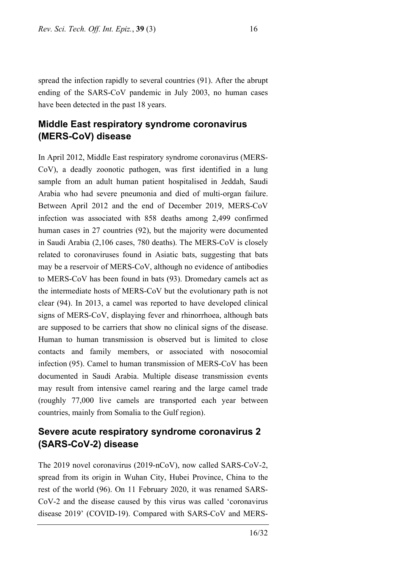spread the infection rapidly to several countries (91). After the abrupt ending of the SARS-CoV pandemic in July 2003, no human cases have been detected in the past 18 years.

# **Middle East respiratory syndrome coronavirus (MERS-CoV) disease**

In April 2012, Middle East respiratory syndrome coronavirus (MERS-CoV), a deadly zoonotic pathogen, was first identified in a lung sample from an adult human patient hospitalised in Jeddah, Saudi Arabia who had severe pneumonia and died of multi-organ failure. Between April 2012 and the end of December 2019, MERS-CoV infection was associated with 858 deaths among 2,499 confirmed human cases in 27 countries (92), but the majority were documented in Saudi Arabia (2,106 cases, 780 deaths). The MERS-CoV is closely related to coronaviruses found in Asiatic bats, suggesting that bats may be a reservoir of MERS-CoV, although no evidence of antibodies to MERS-CoV has been found in bats (93). Dromedary camels act as the intermediate hosts of MERS-CoV but the evolutionary path is not clear (94). In 2013, a camel was reported to have developed clinical signs of MERS-CoV, displaying fever and rhinorrhoea, although bats are supposed to be carriers that show no clinical signs of the disease. Human to human transmission is observed but is limited to close contacts and family members, or associated with nosocomial infection (95). Camel to human transmission of MERS-CoV has been documented in Saudi Arabia. Multiple disease transmission events may result from intensive camel rearing and the large camel trade (roughly 77,000 live camels are transported each year between countries, mainly from Somalia to the Gulf region).

# **Severe acute respiratory syndrome coronavirus 2 (SARS-CoV-2) disease**

The 2019 novel coronavirus (2019-nCoV), now called SARS-CoV-2, spread from its origin in Wuhan City, Hubei Province, China to the rest of the world (96). On 11 February 2020, it was renamed SARS-CoV-2 and the disease caused by this virus was called 'coronavirus disease 2019' (COVID-19). Compared with SARS-CoV and MERS-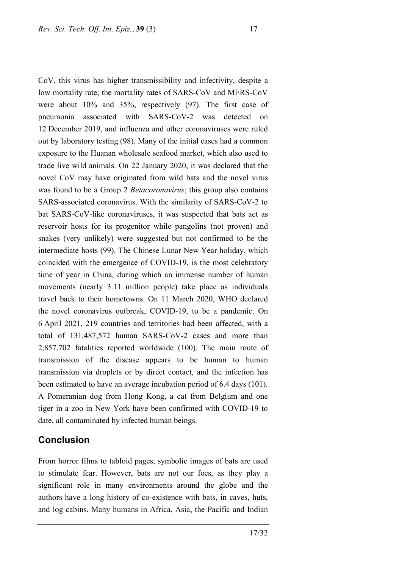CoV, this virus has higher transmissibility and infectivity, despite a low mortality rate; the mortality rates of SARS-CoV and MERS-CoV were about 10% and 35%, respectively (97). The first case of pneumonia associated with SARS-CoV-2 was detected on 12 December 2019, and influenza and other coronaviruses were ruled out by laboratory testing (98). Many of the initial cases had a common exposure to the Huanan wholesale seafood market, which also used to trade live wild animals. On 22 January 2020, it was declared that the novel CoV may have originated from wild bats and the novel virus was found to be a Group 2 *Betacoronavirus*; this group also contains SARS-associated coronavirus. With the similarity of SARS-CoV-2 to bat SARS-CoV-like coronaviruses, it was suspected that bats act as reservoir hosts for its progenitor while pangolins (not proven) and snakes (very unlikely) were suggested but not confirmed to be the intermediate hosts (99). The Chinese Lunar New Year holiday, which coincided with the emergence of COVID-19, is the most celebratory time of year in China, during which an immense number of human movements (nearly 3.11 million people) take place as individuals travel back to their hometowns. On 11 March 2020, WHO declared the novel coronavirus outbreak, COVID-19, to be a pandemic. On 6 April 2021, 219 countries and territories had been affected, with a total of 131,487,572 human SARS-CoV-2 cases and more than 2,857,702 fatalities reported worldwide (100). The main route of transmission of the disease appears to be human to human transmission via droplets or by direct contact, and the infection has been estimated to have an average incubation period of 6.4 days (101). A Pomeranian dog from Hong Kong, a cat from Belgium and one tiger in a zoo in New York have been confirmed with COVID-19 to date, all contaminated by infected human beings.

### **Conclusion**

From horror films to tabloid pages, symbolic images of bats are used to stimulate fear. However, bats are not our foes, as they play a significant role in many environments around the globe and the authors have a long history of co-existence with bats, in caves, huts, and log cabins. Many humans in Africa, Asia, the Pacific and Indian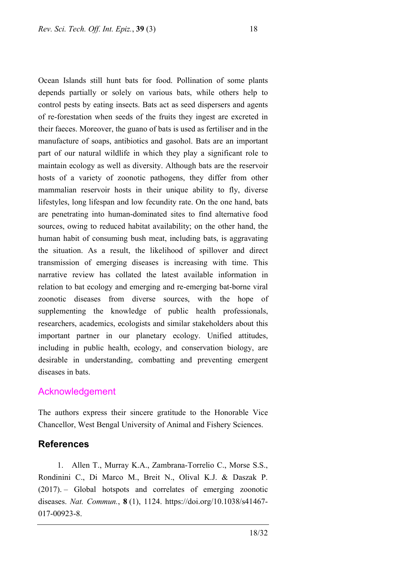Ocean Islands still hunt bats for food. Pollination of some plants depends partially or solely on various bats, while others help to control pests by eating insects. Bats act as seed dispersers and agents of re-forestation when seeds of the fruits they ingest are excreted in their faeces. Moreover, the guano of bats is used as fertiliser and in the manufacture of soaps, antibiotics and gasohol. Bats are an important part of our natural wildlife in which they play a significant role to maintain ecology as well as diversity. Although bats are the reservoir hosts of a variety of zoonotic pathogens, they differ from other mammalian reservoir hosts in their unique ability to fly, diverse lifestyles, long lifespan and low fecundity rate. On the one hand, bats are penetrating into human-dominated sites to find alternative food sources, owing to reduced habitat availability; on the other hand, the human habit of consuming bush meat, including bats, is aggravating the situation. As a result, the likelihood of spillover and direct transmission of emerging diseases is increasing with time. This narrative review has collated the latest available information in relation to bat ecology and emerging and re-emerging bat-borne viral zoonotic diseases from diverse sources, with the hope of supplementing the knowledge of public health professionals, researchers, academics, ecologists and similar stakeholders about this important partner in our planetary ecology. Unified attitudes, including in public health, ecology, and conservation biology, are desirable in understanding, combatting and preventing emergent diseases in bats.

#### Acknowledgement

The authors express their sincere gratitude to the Honorable Vice Chancellor, West Bengal University of Animal and Fishery Sciences.

# **References**

1. Allen T., Murray K.A., Zambrana-Torrelio C., Morse S.S., Rondinini C., Di Marco M., Breit N., Olival K.J. & Daszak P. (2017). – Global hotspots and correlates of emerging zoonotic diseases. *Nat. Commun.*, **8** (1), 1124. [https://doi.org/10.1038/s41467-](https://doi.org/10.1038/s41467-017-00923-8) [017-00923-8.](https://doi.org/10.1038/s41467-017-00923-8)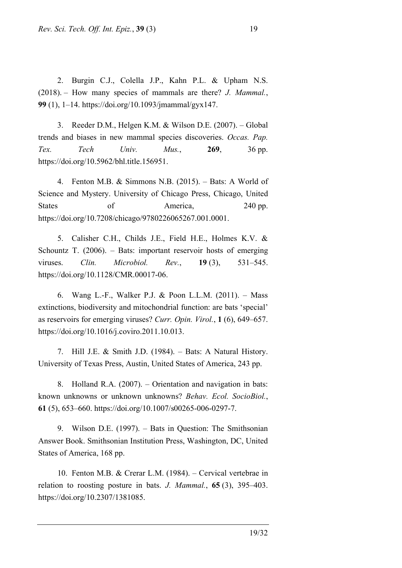2. Burgin C.J., Colella J.P., Kahn P.L. & Upham N.S. (2018). – How many species of mammals are there? *J. Mammal.*, **99** (1), 1–14. https://doi.org/10.1093/jmammal/gyx147.

3. Reeder D.M., Helgen K.M. & Wilson D.E. (2007). – Global trends and biases in new mammal species discoveries. *Occas. Pap. Tex. Tech Univ. Mus.*, **269**, 36 pp. https://doi.org/10.5962/bhl.title.156951.

4. Fenton M.B. & Simmons N.B. (2015). – Bats: A World of Science and Mystery. University of Chicago Press, Chicago, United States of America, 240 pp. https://doi.org/10.7208/chicago/9780226065267.001.0001.

5. Calisher C.H., Childs J.E., Field H.E., Holmes K.V. & Schountz T. (2006). – Bats: important reservoir hosts of emerging viruses. *Clin. Microbiol. Rev.*, **19** (3), 531–545. https://doi.org/10.1128/CMR.00017-06.

6. Wang L.-F., Walker P.J. & Poon L.L.M. (2011). – Mass extinctions, biodiversity and mitochondrial function: are bats 'special' as reservoirs for emerging viruses? *Curr. Opin. Virol.*, **1** (6), 649–657. https://doi.org/10.1016/j.coviro.2011.10.013.

7. Hill J.E. & Smith J.D. (1984). – Bats: A Natural History. University of Texas Press, Austin, United States of America, 243 pp.

8. Holland R.A. (2007). – Orientation and navigation in bats: known unknowns or unknown unknowns? *Behav. Ecol. SocioBiol.*, **61** (5), 653–660. https://doi.org/10.1007/s00265-006-0297-7.

9. Wilson D.E. (1997). – Bats in Question: The Smithsonian Answer Book. Smithsonian Institution Press, Washington, DC, United States of America, 168 pp.

10. Fenton M.B. & Crerar L.M. (1984). – Cervical vertebrae in relation to roosting posture in bats. *J. Mammal.*, **65** (3), 395–403. https://doi.org/10.2307/1381085.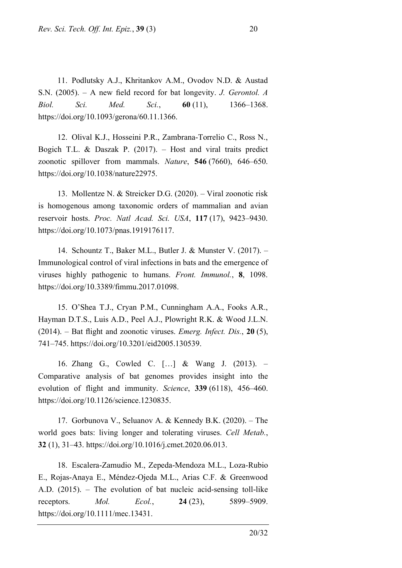11. Podlutsky A.J., Khritankov A.M., Ovodov N.D. & Austad S.N. (2005). – A new field record for bat longevity. *J. Gerontol. A Biol. Sci. Med. Sci.*, **60** (11), 1366–1368. https://doi.org/10.1093/gerona/60.11.1366.

12. Olival K.J., Hosseini P.R., Zambrana-Torrelio C., Ross N., Bogich T.L. & Daszak P. (2017). – Host and viral traits predict zoonotic spillover from mammals. *Nature*, **546** (7660), 646–650. https://doi.org/10.1038/nature22975.

13. Mollentze N. & Streicker D.G. (2020). – Viral zoonotic risk is homogenous among taxonomic orders of mammalian and avian reservoir hosts. *Proc. Natl Acad. Sci. USA*, **117** (17), 9423–9430. https://doi.org/10.1073/pnas.1919176117.

14. Schountz T., Baker M.L., Butler J. & Munster V. (2017). – Immunological control of viral infections in bats and the emergence of viruses highly pathogenic to humans. *Front. Immunol.*, **8**, 1098. https://doi.org/10.3389/fimmu.2017.01098.

15. O'Shea T.J., Cryan P.M., Cunningham A.A., Fooks A.R., Hayman D.T.S., Luis A.D., Peel A.J., Plowright R.K. & Wood J.L.N. (2014). – Bat flight and zoonotic viruses. *Emerg. Infect. Dis.*, **20** (5), 741–745. https://doi.org/10.3201/eid2005.130539.

16. Zhang G., Cowled C. […] & Wang J. (2013). – Comparative analysis of bat genomes provides insight into the evolution of flight and immunity. *Science*, **339** (6118), 456–460. https://doi.org/10.1126/science.1230835.

17. Gorbunova V., Seluanov A. & Kennedy B.K. (2020). – The world goes bats: living longer and tolerating viruses. *Cell Metab.*, **32** (1), 31–43. https://doi.org/10.1016/j.cmet.2020.06.013.

18. Escalera‐Zamudio M., Zepeda‐Mendoza M.L., Loza‐Rubio E., Rojas‐Anaya E., Méndez‐Ojeda M.L., Arias C.F. & Greenwood A.D. (2015). – The evolution of bat nucleic acid-sensing toll-like receptors. *Mol. Ecol.*, **24** (23), 5899–5909. https://doi.org/10.1111/mec.13431.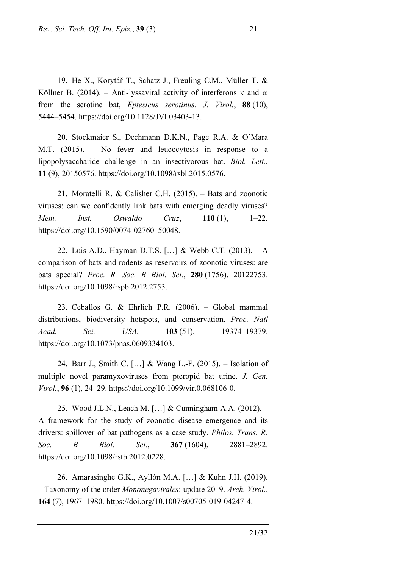19. He X., Korytář T., Schatz J., Freuling C.M., Müller T. & Köllner B. (2014). – Anti-lyssaviral activity of interferons  $\kappa$  and  $\omega$ from the serotine bat, *Eptesicus serotinus*. *J. Virol.*, **88** (10), 5444–5454. https://doi.org/10.1128/JVI.03403-13.

20. Stockmaier S., Dechmann D.K.N., Page R.A. & O'Mara M.T. (2015). – No fever and leucocytosis in response to a lipopolysaccharide challenge in an insectivorous bat. *Biol. Lett.*, **11** (9), 20150576. https://doi.org/10.1098/rsbl.2015.0576.

21. Moratelli R. & Calisher C.H. (2015). – Bats and zoonotic viruses: can we confidently link bats with emerging deadly viruses? *Mem. Inst. Oswaldo Cruz*, **110** (1), 1–22. https://doi.org/10.1590/0074-02760150048.

22. Luis A.D., Hayman D.T.S. […] & Webb C.T. (2013). – A comparison of bats and rodents as reservoirs of zoonotic viruses: are bats special? *Proc. R. Soc. B Biol. Sci.*, **280** (1756), 20122753. https://doi.org/10.1098/rspb.2012.2753.

23. Ceballos G. & Ehrlich P.R. (2006). – Global mammal distributions, biodiversity hotspots, and conservation. *Proc. Natl Acad. Sci. USA*, **103** (51), 19374–19379. https://doi.org/10.1073/pnas.0609334103.

24. Barr J., Smith C. […] & Wang L.-F. (2015). – Isolation of multiple novel paramyxoviruses from pteropid bat urine. *J. Gen. Virol.*, **96** (1), 24–29. https://doi.org/10.1099/vir.0.068106-0.

25. Wood J.L.N., Leach M. […] & Cunningham A.A. (2012). – A framework for the study of zoonotic disease emergence and its drivers: spillover of bat pathogens as a case study. *Philos. Trans. R. Soc. B Biol. Sci.*, **367** (1604), 2881–2892. https://doi.org/10.1098/rstb.2012.0228.

26. Amarasinghe G.K., Ayllón M.A. […] & Kuhn J.H. (2019). – Taxonomy of the order *Mononegavirales*: update 2019. *Arch. Virol.*, **164** (7), 1967–1980. https://doi.org/10.1007/s00705-019-04247-4.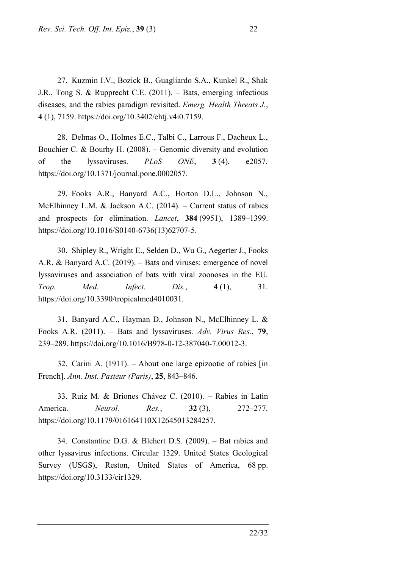27. Kuzmin I.V., Bozick B., Guagliardo S.A., Kunkel R., Shak J.R., Tong S. & Rupprecht C.E. (2011). – Bats, emerging infectious diseases, and the rabies paradigm revisited. *Emerg. Health Threats J.*, **4** (1), 7159. https://doi.org/10.3402/ehtj.v4i0.7159.

28. Delmas O., Holmes E.C., Talbi C., Larrous F., Dacheux L., Bouchier C. & Bourhy H. (2008). – Genomic diversity and evolution of the lyssaviruses. *PLoS ONE*, **3** (4), e2057. https://doi.org/10.1371/journal.pone.0002057.

29. Fooks A.R., Banyard A.C., Horton D.L., Johnson N., McElhinney L.M. & Jackson A.C. (2014). – Current status of rabies and prospects for elimination. *Lancet*, **384** (9951), 1389–1399. https://doi.org/10.1016/S0140-6736(13)62707-5.

30. Shipley R., Wright E., Selden D., Wu G., Aegerter J., Fooks A.R. & Banyard A.C. (2019). – Bats and viruses: emergence of novel lyssaviruses and association of bats with viral zoonoses in the EU. *Trop. Med. Infect. Dis.*, **4** (1), 31. https://doi.org/10.3390/tropicalmed4010031.

31. Banyard A.C., Hayman D., Johnson N., McElhinney L. & Fooks A.R. (2011). – Bats and lyssaviruses. *Adv. Virus Res.*, **79**, 239–289. https://doi.org/10.1016/B978-0-12-387040-7.00012-3.

32. Carini A. (1911). – About one large epizootie of rabies [in French]. *Ann. Inst. Pasteur (Paris)*, **25**, 843–846.

33. Ruiz M. & Briones Chávez C. (2010). – Rabies in Latin America. *Neurol. Res.*, **32** (3), 272–277. https://doi.org/10.1179/016164110X12645013284257.

34. Constantine D.G. & Blehert D.S. (2009). – Bat rabies and other lyssavirus infections. Circular 1329. United States Geological Survey (USGS), Reston, United States of America, 68 pp. [https://doi.org/10.3133/cir1329.](https://doi.org/10.3133/cir1329)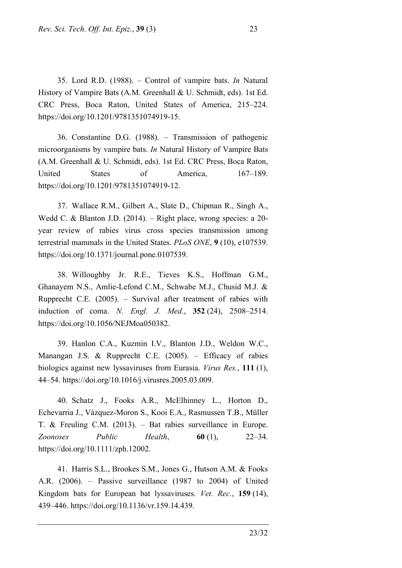CRC Press, Boca Raton, United States of America, 215–224. https://doi.org/10.1201/9781351074919-15. 36. Constantine D.G. (1988). – Transmission of pathogenic microorganisms by vampire bats. *In* Natural History of Vampire Bats (A.M. Greenhall & U. Schmidt, eds). 1st Ed. CRC Press, Boca Raton,

United States of America, 167–189. https://doi.org/10.1201/9781351074919-12.

37. Wallace R.M., Gilbert A., Slate D., Chipman R., Singh A., Wedd C. & Blanton J.D. (2014). – Right place, wrong species: a 20 year review of rabies virus cross species transmission among terrestrial mammals in the United States. *PLoS ONE*, **9** (10), e107539. https://doi.org/10.1371/journal.pone.0107539.

38. Willoughby Jr. R.E., Tieves K.S., Hoffman G.M., Ghanayem N.S., Amlie-Lefond C.M., Schwabe M.J., Chusid M.J. & Rupprecht C.E. (2005). – Survival after treatment of rabies with induction of coma. *N. Engl. J. Med.*, **352** (24), 2508–2514. https://doi.org/10.1056/NEJMoa050382.

39. Hanlon C.A., Kuzmin I.V., Blanton J.D., Weldon W.C., Manangan J.S. & Rupprecht C.E. (2005). – Efficacy of rabies biologics against new lyssaviruses from Eurasia. *Virus Res.*, **111** (1), 44–54. https://doi.org/10.1016/j.virusres.2005.03.009.

40. Schatz J., Fooks A.R., McElhinney L., Horton D., Echevarria J., Vázquez‐Moron S., Kooi E.A., Rasmussen T.B., Müller T. & Freuling C.M. (2013). – Bat rabies surveillance in Europe. *Zoonoses Public Health*, **60** (1), 22–34. https://doi.org/10.1111/zph.12002.

41. Harris S.L., Brookes S.M., Jones G., Hutson A.M. & Fooks A.R. (2006). – Passive surveillance (1987 to 2004) of United Kingdom bats for European bat lyssaviruses. *Vet. Rec.*, **159** (14), 439–446. https://doi.org/10.1136/vr.159.14.439.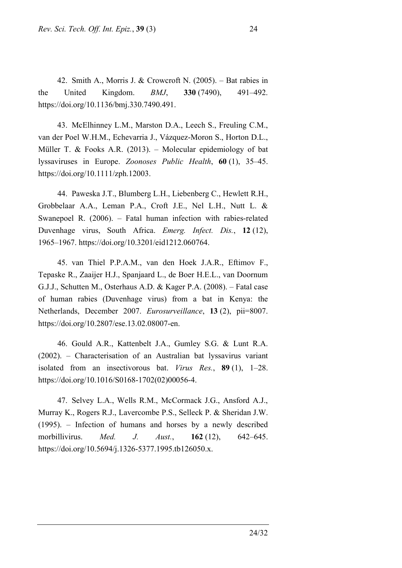42. Smith A., Morris J. & Crowcroft N. (2005). – Bat rabies in the United Kingdom. *BMJ*, **330** (7490), 491–492. https://doi.org/10.1136/bmj.330.7490.491.

43. McElhinney L.M., Marston D.A., Leech S., Freuling C.M., van der Poel W.H.M., Echevarria J., Vázquez‐Moron S., Horton D.L., Müller T. & Fooks A.R. (2013). – Molecular epidemiology of bat lyssaviruses in Europe. *Zoonoses Public Health*, **60** (1), 35–45. https://doi.org/10.1111/zph.12003.

44. Paweska J.T., Blumberg L.H., Liebenberg C., Hewlett R.H., Grobbelaar A.A., Leman P.A., Croft J.E., Nel L.H., Nutt L. & Swanepoel R. (2006). – Fatal human infection with rabies-related Duvenhage virus, South Africa. *Emerg. Infect. Dis.*, **12** (12), 1965–1967. https://doi.org/10.3201/eid1212.060764.

45. van Thiel P.P.A.M., van den Hoek J.A.R., Eftimov F., Tepaske R., Zaaijer H.J., Spanjaard L., de Boer H.E.L., van Doornum G.J.J., Schutten M., Osterhaus A.D. & Kager P.A. (2008). – Fatal case of human rabies (Duvenhage virus) from a bat in Kenya: the Netherlands, December 2007. *Eurosurveillance*, **13** (2), pii=8007. https://doi.org/10.2807/ese.13.02.08007-en.

46. Gould A.R., Kattenbelt J.A., Gumley S.G. & Lunt R.A. (2002). – Characterisation of an Australian bat lyssavirus variant isolated from an insectivorous bat. *Virus Res.*, **89** (1), 1–28. https://doi.org/10.1016/S0168-1702(02)00056-4.

47. Selvey L.A., Wells R.M., McCormack J.G., Ansford A.J., Murray K., Rogers R.J., Lavercombe P.S., Selleck P. & Sheridan J.W. (1995). – Infection of humans and horses by a newly described morbillivirus. *Med. J. Aust.*, **162** (12), 642–645. [https://doi.org/10.5694/j.1326-5377.1995.tb126050.x.](https://doi.org/10.5694/j.1326-5377.1995.tb126050.x)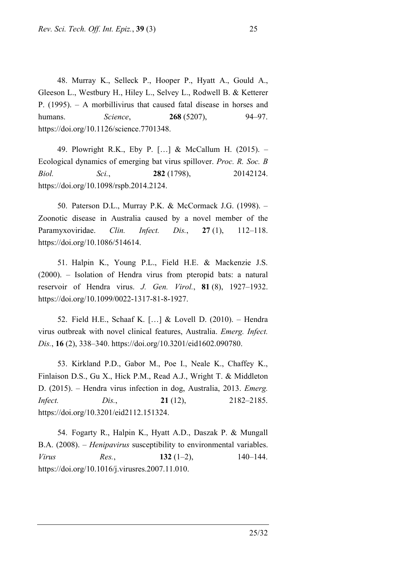48. Murray K., Selleck P., Hooper P., Hyatt A., Gould A., Gleeson L., Westbury H., Hiley L., Selvey L., Rodwell B. & Ketterer P. (1995). – A morbillivirus that caused fatal disease in horses and humans. *Science*, **268** (5207), 94–97. https://doi.org/10.1126/science.7701348.

49. Plowright R.K., Eby P. […] & McCallum H. (2015). – Ecological dynamics of emerging bat virus spillover. *Proc. R. Soc. B Biol. Sci.*, **282** (1798), 20142124. https://doi.org/10.1098/rspb.2014.2124.

50. Paterson D.L., Murray P.K. & McCormack J.G. (1998). – Zoonotic disease in Australia caused by a novel member of the Paramyxoviridae. *Clin. Infect. Dis.*, **27** (1), 112–118. https://doi.org/10.1086/514614.

51. Halpin K., Young P.L., Field H.E. & Mackenzie J.S. (2000). – Isolation of Hendra virus from pteropid bats: a natural reservoir of Hendra virus. *J. Gen. Virol.*, **81** (8), 1927–1932. https://doi.org/10.1099/0022-1317-81-8-1927.

52. Field H.E., Schaaf K. […] & Lovell D. (2010). – Hendra virus outbreak with novel clinical features, Australia. *Emerg. Infect. Dis.*, **16** (2), 338–340. https://doi.org/10.3201/eid1602.090780.

53. Kirkland P.D., Gabor M., Poe I., Neale K., Chaffey K., Finlaison D.S., Gu X., Hick P.M., Read A.J., Wright T. & Middleton D. (2015). – Hendra virus infection in dog, Australia, 2013. *Emerg. Infect. Dis.*, **21** (12), 2182–2185. https://doi.org/10.3201/eid2112.151324.

54. Fogarty R., Halpin K., Hyatt A.D., Daszak P. & Mungall B.A. (2008). – *Henipavirus* susceptibility to environmental variables. *Virus Res.*, **132** (1–2), 140–144. [https://doi.org/10.1016/j.virusres.2007.11.010.](https://doi.org/10.1016/j.virusres.2007.11.010)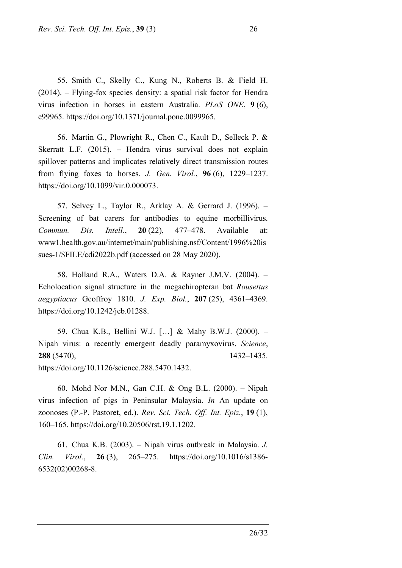55. Smith C., Skelly C., Kung N., Roberts B. & Field H. (2014). – Flying-fox species density: a spatial risk factor for Hendra virus infection in horses in eastern Australia. *PLoS ONE*, **9** (6), e99965. https://doi.org/10.1371/journal.pone.0099965.

56. Martin G., Plowright R., Chen C., Kault D., Selleck P. & Skerratt L.F. (2015). – Hendra virus survival does not explain spillover patterns and implicates relatively direct transmission routes from flying foxes to horses. *J. Gen. Virol.*, **96** (6), 1229–1237. https://doi.org/10.1099/vir.0.000073.

57. Selvey L., Taylor R., Arklay A. & Gerrard J. (1996). – Screening of bat carers for antibodies to equine morbillivirus. *Commun. Dis. Intell.*, **20** (22), 477–478. Available at: www1.health.gov.au/internet/main/publishing.nsf/Content/1996%20is sues-1/\$FILE/cdi2022b.pdf (accessed on 28 May 2020).

58. Holland R.A., Waters D.A. & Rayner J.M.V. (2004). – Echolocation signal structure in the megachiropteran bat *Rousettus aegyptiacus* Geoffroy 1810. *J. Exp. Biol.*, **207** (25), 4361–4369. https://doi.org/10.1242/jeb.01288.

59. Chua K.B., Bellini W.J. […] & Mahy B.W.J. (2000). – Nipah virus: a recently emergent deadly paramyxovirus. *Science*, **288** (5470), 1432–1435. https://doi.org/10.1126/science.288.5470.1432.

60. Mohd Nor M.N., Gan C.H. & Ong B.L. (2000). – Nipah virus infection of pigs in Peninsular Malaysia. *In* An update on zoonoses (P.-P. Pastoret, ed.). *Rev. Sci. Tech. Off. Int. Epiz.*, **19** (1), 160–165. https://doi.org/10.20506/rst.19.1.1202.

61. Chua K.B. (2003). – Nipah virus outbreak in Malaysia. *J. Clin. Virol.*, **26** (3), 265–275. [https://doi.org/10.1016/s1386-](https://doi.org/10.1016/s1386-6532(02)00268-8) [6532\(02\)00268-8.](https://doi.org/10.1016/s1386-6532(02)00268-8)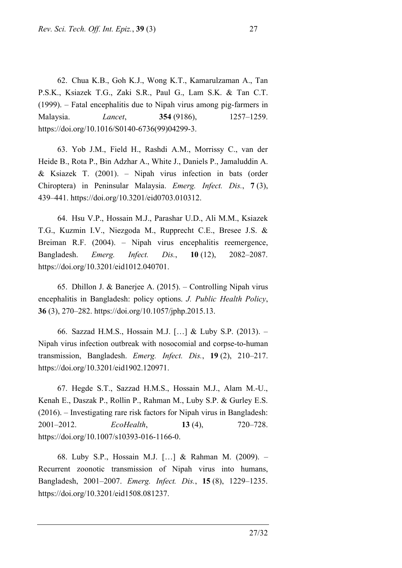62. Chua K.B., Goh K.J., Wong K.T., Kamarulzaman A., Tan P.S.K., Ksiazek T.G., Zaki S.R., Paul G., Lam S.K. & Tan C.T. (1999). – Fatal encephalitis due to Nipah virus among pig-farmers in Malaysia. *Lancet*, **354** (9186), 1257–1259. https://doi.org/10.1016/S0140-6736(99)04299-3.

63. Yob J.M., Field H., Rashdi A.M., Morrissy C., van der Heide B., Rota P., Bin Adzhar A., White J., Daniels P., Jamaluddin A. & Ksiazek T. (2001). – Nipah virus infection in bats (order Chiroptera) in Peninsular Malaysia. *Emerg. Infect. Dis.*, **7** (3), 439–441. https://doi.org/10.3201/eid0703.010312.

64. Hsu V.P., Hossain M.J., Parashar U.D., Ali M.M., Ksiazek T.G., Kuzmin I.V., Niezgoda M., Rupprecht C.E., Bresee J.S. & Breiman R.F. (2004). – Nipah virus encephalitis reemergence, Bangladesh. *Emerg. Infect. Dis.*, **10** (12), 2082–2087. https://doi.org/10.3201/eid1012.040701.

65. Dhillon J. & Banerjee A. (2015). – Controlling Nipah virus encephalitis in Bangladesh: policy options. *J. Public Health Policy*, **36** (3), 270–282. https://doi.org/10.1057/jphp.2015.13.

66. Sazzad H.M.S., Hossain M.J. […] & Luby S.P. (2013). – Nipah virus infection outbreak with nosocomial and corpse-to-human transmission, Bangladesh. *Emerg. Infect. Dis.*, **19** (2), 210–217. https://doi.org/10.3201/eid1902.120971.

67. Hegde S.T., Sazzad H.M.S., Hossain M.J., Alam M.-U., Kenah E., Daszak P., Rollin P., Rahman M., Luby S.P. & Gurley E.S. (2016). – Investigating rare risk factors for Nipah virus in Bangladesh: 2001–2012. *EcoHealth*, **13** (4), 720–728. https://doi.org/10.1007/s10393-016-1166-0.

68. Luby S.P., Hossain M.J. […] & Rahman M. (2009). – Recurrent zoonotic transmission of Nipah virus into humans, Bangladesh, 2001–2007. *Emerg. Infect. Dis.*, **15** (8), 1229–1235. https://doi.org/10.3201/eid1508.081237.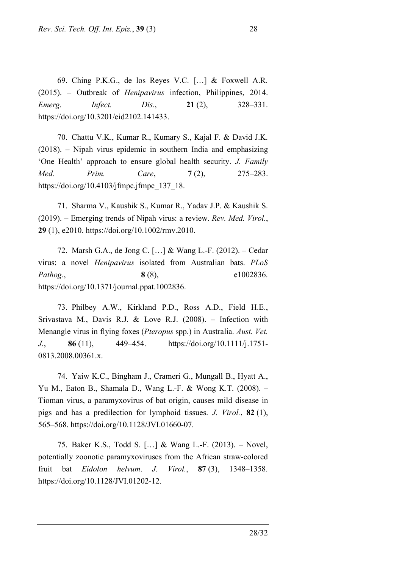69. Ching P.K.G., de los Reyes V.C. […] & Foxwell A.R. (2015). – Outbreak of *Henipavirus* infection, Philippines, 2014. *Emerg. Infect. Dis.*, **21** (2), 328–331. https://doi.org/10.3201/eid2102.141433.

70. Chattu V.K., Kumar R., Kumary S., Kajal F. & David J.K. (2018). – Nipah virus epidemic in southern India and emphasizing 'One Health' approach to ensure global health security. *J. Family Med. Prim. Care*, **7** (2), 275–283. https://doi.org/10.4103/jfmpc.jfmpc\_137\_18.

71. Sharma V., Kaushik S., Kumar R., Yadav J.P. & Kaushik S. (2019). – Emerging trends of Nipah virus: a review. *Rev. Med. Virol.*, **29** (1), e2010. https://doi.org/10.1002/rmv.2010.

72. Marsh G.A., de Jong C. […] & Wang L.-F. (2012). – Cedar virus: a novel *Henipavirus* isolated from Australian bats. *PLoS Pathog.*, **8** (8), e1002836. https://doi.org/10.1371/journal.ppat.1002836.

73. Philbey A.W., Kirkland P.D., Ross A.D., Field H.E., Srivastava M., Davis R.J. & Love R.J. (2008). – Infection with Menangle virus in flying foxes (*Pteropus* spp.) in Australia. *Aust. Vet. J.*, **86** (11), 449–454. https://doi.org/10.1111/j.1751- 0813.2008.00361.x.

74. Yaiw K.C., Bingham J., Crameri G., Mungall B., Hyatt A., Yu M., Eaton B., Shamala D., Wang L.-F. & Wong K.T. (2008). – Tioman virus, a paramyxovirus of bat origin, causes mild disease in pigs and has a predilection for lymphoid tissues. *J. Virol.*, **82** (1), 565–568. https://doi.org/10.1128/JVI.01660-07.

75. Baker K.S., Todd S. […] & Wang L.-F. (2013). – Novel, potentially zoonotic paramyxoviruses from the African straw-colored fruit bat *Eidolon helvum*. *J. Virol.*, **87** (3), 1348–1358. https://doi.org/10.1128/JVI.01202-12.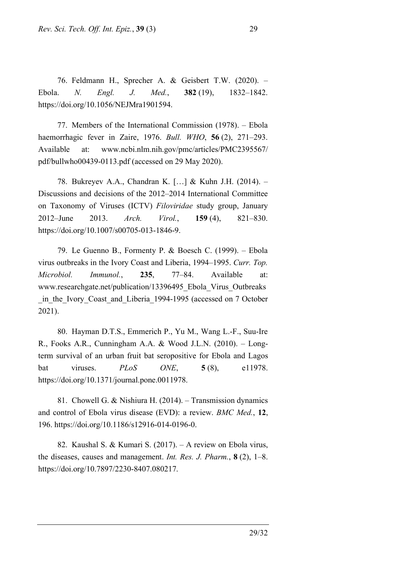76. Feldmann H., Sprecher A. & Geisbert T.W. (2020). – Ebola. *N. Engl. J. Med.*, **382** (19), 1832–1842. https://doi.org/10.1056/NEJMra1901594.

77. Members of the International Commission (1978). – Ebola haemorrhagic fever in Zaire, 1976. *Bull. WHO*, **56** (2), 271–293. Available at: [www.ncbi.nlm.nih.gov/pmc/articles/PMC2395567/](http://www.ncbi.nlm.nih.gov/pmc/articles/PMC2395567/pdf/bullwho00439-0113.pdf) [pdf/bullwho00439-0113.pdf](http://www.ncbi.nlm.nih.gov/pmc/articles/PMC2395567/pdf/bullwho00439-0113.pdf) (accessed on 29 May 2020).

78. Bukreyev A.A., Chandran K. […] & Kuhn J.H. (2014). – Discussions and decisions of the 2012–2014 International Committee on Taxonomy of Viruses (ICTV) *Filoviridae* study group, January 2012–June 2013. *Arch. Virol.*, **159** (4), 821–830. https://doi.org/10.1007/s00705-013-1846-9.

79. Le Guenno B., Formenty P. & Boesch C. (1999). – Ebola virus outbreaks in the Ivory Coast and Liberia, 1994–1995. *Curr. Top. Microbiol. Immunol.*, **235**, 77–84. Available at: www.researchgate.net/publication/13396495\_Ebola\_Virus\_Outbreaks in the Ivory Coast and Liberia 1994-1995 (accessed on 7 October 2021).

80. Hayman D.T.S., Emmerich P., Yu M., Wang L.-F., Suu-Ire R., Fooks A.R., Cunningham A.A. & Wood J.L.N. (2010). – Longterm survival of an urban fruit bat seropositive for Ebola and Lagos bat viruses. *PLoS ONE*, **5** (8), e11978. https://doi.org/10.1371/journal.pone.0011978.

81. Chowell G. & Nishiura H. (2014). – Transmission dynamics and control of Ebola virus disease (EVD): a review. *BMC Med.*, **12**, 196. https://doi.org/10.1186/s12916-014-0196-0.

82. Kaushal S. & Kumari S. (2017). – A review on Ebola virus, the diseases, causes and management. *Int. Res. J. Pharm.*, **8** (2), 1–8. [https://doi.org/10.7897/2230-8407.080217.](https://doi.org/10.7897/2230-8407.080217)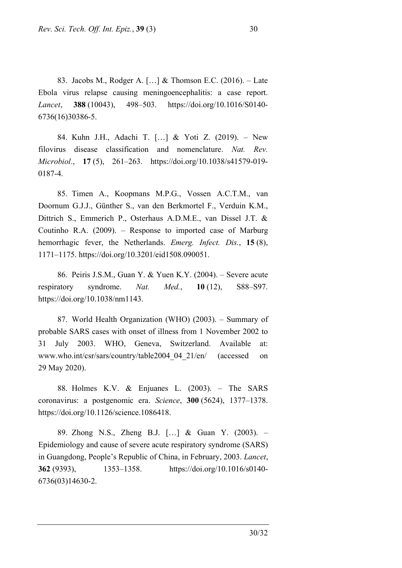83. Jacobs M., Rodger A. […] & Thomson E.C. (2016). – Late Ebola virus relapse causing meningoencephalitis: a case report. *Lancet*, **388** (10043), 498–503. https://doi.org/10.1016/S0140- 6736(16)30386-5.

84. Kuhn J.H., Adachi T. […] & Yoti Z. (2019). – New filovirus disease classification and nomenclature. *Nat. Rev. Microbiol.*, **17** (5), 261–263. https://doi.org/10.1038/s41579-019- 0187-4.

85. Timen A., Koopmans M.P.G., Vossen A.C.T.M., van Doornum G.J.J., Günther S., van den Berkmortel F., Verduin K.M., Dittrich S., Emmerich P., Osterhaus A.D.M.E., van Dissel J.T. & Coutinho R.A. (2009). – Response to imported case of Marburg hemorrhagic fever, the Netherlands. *Emerg. Infect. Dis.*, **15** (8), 1171–1175. https://doi.org/10.3201/eid1508.090051.

86. Peiris J.S.M., Guan Y. & Yuen K.Y. (2004). – Severe acute respiratory syndrome. *Nat. Med.*, **10** (12), S88–S97. https://doi.org/10.1038/nm1143.

87. World Health Organization (WHO) (2003). – Summary of probable SARS cases with onset of illness from 1 November 2002 to 31 July 2003. WHO, Geneva, Switzerland. Available at: www.who.int/csr/sars/country/table2004\_04\_21/en/ (accessed on 29 May 2020).

88. Holmes K.V. & Enjuanes L. (2003). – The SARS coronavirus: a postgenomic era. *Science*, **300** (5624), 1377–1378. https://doi.org/10.1126/science.1086418.

89. Zhong N.S., Zheng B.J. […] & Guan Y. (2003). – Epidemiology and cause of severe acute respiratory syndrome (SARS) in Guangdong, People's Republic of China, in February, 2003. *Lancet*, **362** (9393), 1353–1358. [https://doi.org/10.1016/s0140-](https://doi.org/10.1016/s0140-6736(03)14630-2) [6736\(03\)14630-2.](https://doi.org/10.1016/s0140-6736(03)14630-2)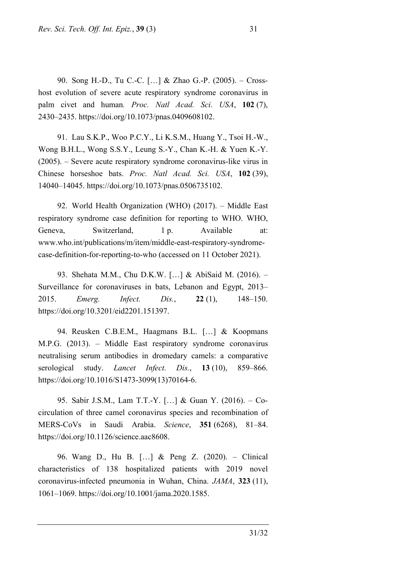90. Song H.-D., Tu C.-C. […] & Zhao G.-P. (2005). – Crosshost evolution of severe acute respiratory syndrome coronavirus in palm civet and human*. Proc. Natl Acad. Sci. USA*, **102** (7), 2430–2435. https://doi.org/10.1073/pnas.0409608102.

91. Lau S.K.P., Woo P.C.Y., Li K.S.M., Huang Y., Tsoi H.-W., Wong B.H.L., Wong S.S.Y., Leung S.-Y., Chan K.-H. & Yuen K.-Y. (2005). – Severe acute respiratory syndrome coronavirus-like virus in Chinese horseshoe bats. *Proc. Natl Acad. Sci. USA*, **102** (39), 14040–14045. https://doi.org/10.1073/pnas.0506735102.

92. World Health Organization (WHO) (2017). – Middle East respiratory syndrome case definition for reporting to WHO. WHO, Geneva, Switzerland, 1 p. Available at: www.who.int/publications/m/item/middle-east-respiratory-syndromecase-definition-for-reporting-to-who (accessed on 11 October 2021).

93. Shehata M.M., Chu D.K.W. […] & AbiSaid M. (2016). – Surveillance for coronaviruses in bats, Lebanon and Egypt, 2013– 2015. *Emerg. Infect. Dis.*, **22** (1), 148–150. https://doi.org/10.3201/eid2201.151397.

94. Reusken C.B.E.M., Haagmans B.L. […] & Koopmans M.P.G. (2013). – Middle East respiratory syndrome coronavirus neutralising serum antibodies in dromedary camels: a comparative serological study. *Lancet Infect. Dis.*, **13** (10), 859–866. https://doi.org/10.1016/S1473-3099(13)70164-6.

95. Sabir J.S.M., Lam T.T.-Y. […] & Guan Y. (2016). – Cocirculation of three camel coronavirus species and recombination of MERS-CoVs in Saudi Arabia. *Science*, **351** (6268), 81–84. https://doi.org/10.1126/science.aac8608.

96. Wang D., Hu B. […] & Peng Z. (2020). – Clinical characteristics of 138 hospitalized patients with 2019 novel coronavirus-infected pneumonia in Wuhan, China. *JAMA*, **323** (11), 1061–1069. https://doi.org/10.1001/jama.2020.1585.